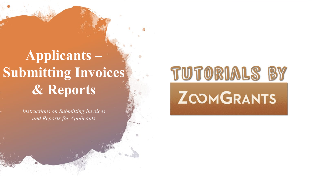## **Applicants – Submitting Invoices & Reports**

*Instructions on Submitting Invoices and Reports for Applicants*

# TUTORIALS BY **ZOOMGRANTS**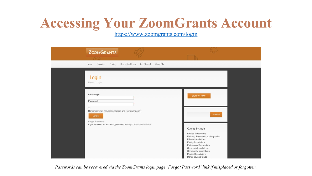#### **Accessing Your ZoomGrants Account**

<https://www.zoomgrants.com/login>

| <b>ZOOMGRANTS</b>                                                                         |                                                                                                                                                                                                                                                        |
|-------------------------------------------------------------------------------------------|--------------------------------------------------------------------------------------------------------------------------------------------------------------------------------------------------------------------------------------------------------|
| Home<br>Overview<br>Pricing<br>Request a Demo<br>Get Started<br>About Us                  |                                                                                                                                                                                                                                                        |
| Login<br>Home / Login                                                                     |                                                                                                                                                                                                                                                        |
| Email Login:<br>Password:                                                                 | <b>SIGN UP NOW!</b>                                                                                                                                                                                                                                    |
| $\Box$<br>Remember me! (for Administrators and Reviewers only)                            |                                                                                                                                                                                                                                                        |
| LOGIN                                                                                     | <b>SEARCH</b>                                                                                                                                                                                                                                          |
| Forgot Password<br>If you received an invitation, you need to Log in to Invitations here. |                                                                                                                                                                                                                                                        |
|                                                                                           | Clients Include<br>Entitled jurisdictions<br>Federal, State and Local Agencies<br>Private foundations<br>Family foundations<br>Faith-based foundations<br>Corporate foundations<br>Community foundations<br>Medical foundations<br>Donor advised funds |

*Passwords can be recovered via the ZoomGrants login page 'Forgot Password' link if misplaced or forgotten.*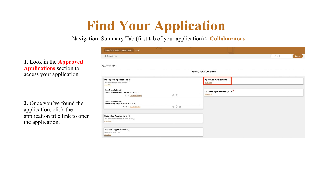## **Find Your Application**

Navigation: Summary Tab (first tab of your application) > **Collaborators**

**1.** Look in the **Approved Applications** section to access your application.

**2.** Once you've found the application, click the application title link to open the application.

| My Account Home / My Applications Profile                                                                        |              |                                               |
|------------------------------------------------------------------------------------------------------------------|--------------|-----------------------------------------------|
| My Account Home                                                                                                  |              | Search<br>Search                              |
| <b>My Account Home</b>                                                                                           |              |                                               |
|                                                                                                                  |              | ZoomGrants University                         |
| Incomplete Applications (2)<br>(full application not yet submitted)<br>show/hide<br><b>ZoomGrants University</b> |              | <b>Approved Applications (5)</b><br>show/hide |
| ZoomGrants University (deadline 12/31/2021)<br>\$0.00 Declined Pre-App                                           | $\Xi$ 0      | Declined Applications (3) 1<br>show/hide      |
| <b>ZoomGrants University</b><br>Open Funding Program (deadline 1/1/2021)                                         |              |                                               |
| \$2,000.00 Our Application                                                                                       | $\oplus$ 0 0 |                                               |
| <b>Submitted Applications (4)</b><br>(full application submitted, decision pending)<br>show/hide                 |              |                                               |
| <b>Archived Applications (5)</b><br>(application abandoned)<br>show/hide                                         |              |                                               |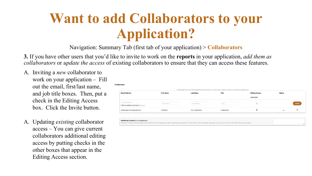#### **Want to add Collaborators to your Application?**

Navigation: Summary Tab (first tab of your application) > **Collaborators**

**3.** If you have other users that you'd like to invite to work on the **reports** in your application, *add them as collaborators* or *update the access* of existing collaborators to ensure that they can access these features.

- A. Inviting a *new* collaborator to work on your application – Fill out the email, first/last name, and job title boxes. Then, put a check in the Editing Access box. Click the Invite button.
- A. Updating *existing* collaborator access – You can give current collaborators additional editing access by putting checks in the other boxes that appear in the Editing Access section.

| <b>Email Address</b>                       | <b>First Name</b> | <b>Last Name</b> | Title        | <b>Editing Access</b>   | <b>Status</b>            |        |
|--------------------------------------------|-------------------|------------------|--------------|-------------------------|--------------------------|--------|
|                                            |                   |                  |              | Application             |                          |        |
| Email Address                              | First Name        | Last Name        | Title        | $\Box$                  |                          | Invite |
| <b>CAdd to Additional Contacts (below)</b> |                   |                  |              |                         |                          |        |
| collaborator@zoomgrants.com                | Chadwick          | Von Collaborator | Collaborator | $\overline{\mathbf{v}}$ | $\overline{\phantom{a}}$ |        |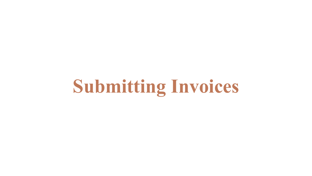# **Submitting Invoices**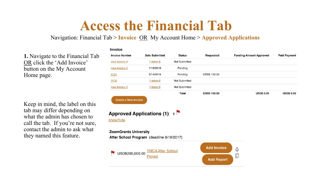#### **Access the Financial Tab**

#### Navigation: Financial Tab > **Invoice** OR My Account Home > **Approved Applications**

Invoice

**1.** Navigate to the Financial Tab OR click the 'Add Invoice' button on the My Account Home page.

Keep in mind, the label on this tab may differ depending on what the admin has chosen to call the tab. If you're not sure, contact the admin to ask what they named this feature.

| <b>Invoice Number</b>        | <b>Date Submitted</b>                     | <b>Status</b> | Requested           | <b>Funding Amount Approved</b> | <b>Paid Payment</b> |
|------------------------------|-------------------------------------------|---------------|---------------------|--------------------------------|---------------------|
| your invoice #               | $[$ delete $]$                            | Not Submitted |                     |                                |                     |
| your invoice #               | 1/16/2019                                 | Pending       |                     |                                |                     |
| 2131                         | 5/14/2019                                 | Pending       | <b>USD\$ 100.00</b> |                                |                     |
| 3132                         | [ delete ]                                | Not Submitted |                     |                                |                     |
| your invoice #               | $[$ delete                                | Not Submitted |                     |                                |                     |
|                              |                                           | Total         | <b>USD\$ 100.00</b> | <b>USD\$ 0.00</b>              | <b>USD\$ 0.00</b>   |
| <b>Create a New Invoice</b>  |                                           |               |                     |                                |                     |
| show/hide                    | <b>Approved Applications (1) 15</b>       |               |                     |                                |                     |
| <b>ZoomGrants University</b> | After School Program (deadline 8/19/2017) |               |                     |                                |                     |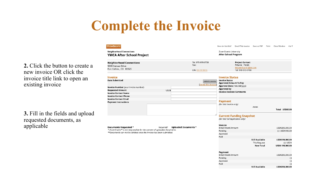## **Complete the Invoice**

**ZOOMGRANTS** How do I do this? **Email This Invoice** Save as PDF Print Close Window AA ▼ **Neighborhood Connections** ZoomGrants University **YMCA After School Project After School Program** Tel: 970-970-9700 **Project Contact Neighborhood Connections** Fax: Petunia Petals 5000 Kansas Drive testapplicant1@zg.com Fort Collins, CO 80525 EIN: 11-1111111 Tel: 970-970-9700 **Invoice Invoice Status Date Submitted Invoice Status Submit Invoice Approved Amount To Pay Idelete this Invo** Approval Date (mm/dd/yyyy) Invoice Number (your invoice number) **Approved by Requested Amount** USD\$ **Invoice Decision Comments Invoice Contact Name Invoice Contact Phone Invoice Contact Email Payment Payment Instructions** (for this Invoice only)  $none-$ Total USD\$0.00 **Current Funding Snapshot** (for this full Application only) Invoice Required? Uploaded Documents \* **Documents Requested \* Initial Award Amount** USD\$200,000.00 \* ZoomGrants<sup>7M</sup> is not responsible for the content of uploaded documents. Pending (-) USD\$100.00 \*\*Documents can not be deleted once the Invoice has been submitted. Approved Paid **Still Available** USD\$199,900.00 This Request  $(-)$  USD\$ **New Total** USD\$ 199,900.00 Payment USD\$200,000.00 **Initial Award Amount** Pending  $(\cdot)$ Approved  $(-)$  $(\cdot)$ Paid **Still Available** USD\$200,000.00

**2.** Click the button to create a new invoice OR click the invoice title link to open an existing invoice

**3.** Fill in the fields and upload requested documents, as applicable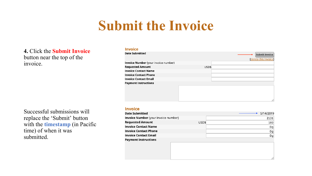#### **Submit the Invoice**

#### **4.** Click the **Submit Invoice** button near the top of the invoice.

Successful submissions will replace the 'Submit' button with the **timestamp** (in Pacific time) of when it was submitted.

#### **Invoice**

| <b>Date Submitted</b>                |       | <b>Submit Invoice</b> |
|--------------------------------------|-------|-----------------------|
|                                      |       | [delete this Invoice  |
| Invoice Number (your invoice number) |       |                       |
| <b>Requested Amount</b>              | USD\$ |                       |
| <b>Invoice Contact Name</b>          |       |                       |
| <b>Invoice Contact Phone</b>         |       |                       |
| <b>Invoice Contact Email</b>         |       |                       |
| <b>Payment Instructions</b>          |       |                       |
|                                      |       |                       |
|                                      |       |                       |
|                                      |       |                       |
|                                      |       | /,                    |
|                                      |       |                       |

#### **Invoice**

| <b>Date Submitted</b>                       | 5/14/2019 |
|---------------------------------------------|-----------|
| <b>Invoice Number</b> (your invoice number) | 2131      |
| <b>Requested Amount</b><br>USD\$            | 100       |
| <b>Invoice Contact Name</b>                 | Dg        |
| <b>Invoice Contact Phone</b>                | Dg        |
| <b>Invoice Contact Email</b>                | Dg        |
| <b>Payment Instructions</b>                 | 4         |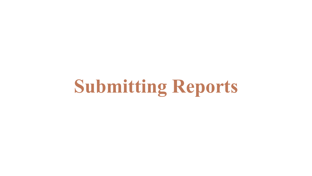# **Submitting Reports**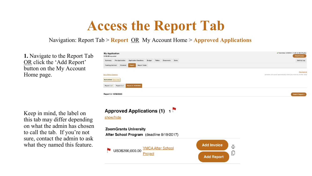#### **Access the Report Tab**

Navigation: Report Tab > **Report** OR My Account Home > **Approved Applications**

**1.** Navigate to the Report Tab OR click the 'Add Report' button on the My Account Home page.

Keep in mind, the label on this tab may differ depending on what the admin has chosen to call the tab. If you're not sure, contact the admin to ask what they named this feature.



Approved Applications (1) 1 show/hide

**ZoomGrants University** After School Program (deadline 8/19/2017)



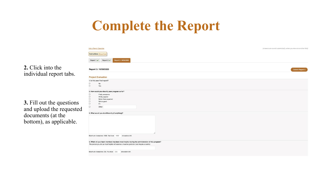## **Complete the Report**

|                                                       | <b>Ask a Report Question</b>                                                                                                                                                                          | (answers are saved automatically when you move to another field) |
|-------------------------------------------------------|-------------------------------------------------------------------------------------------------------------------------------------------------------------------------------------------------------|------------------------------------------------------------------|
|                                                       | <b>Instructions Show/Hide</b>                                                                                                                                                                         |                                                                  |
|                                                       | Report 3: 10/30/2020<br>Report 1: $\mathbf{v}$<br>Report 2:                                                                                                                                           |                                                                  |
| 2. Click into the                                     | Report 3: 10/30/2020                                                                                                                                                                                  | <b>Submit Report 3</b>                                           |
| individual report tabs.                               | <b>Project Evaluation</b>                                                                                                                                                                             |                                                                  |
|                                                       | 1. Is this your final report?<br>$\circ$<br>No<br>$\circ$<br>Yes                                                                                                                                      |                                                                  |
| 3. Fill out the questions<br>and upload the requested | 2. How would you classify your program so far?<br>$\Box$<br>Pretty awesome<br>$\Box$<br>Wildly popular<br>$\Box$<br>Better than expected<br>$\Box$<br>Not so good<br>$\Box$<br>Eh<br>$\Box$<br>Other: |                                                                  |
| documents (at the<br>bottom), as applicable.          | 3. What would you do differently (if anything)?                                                                                                                                                       |                                                                  |
|                                                       | Maximum characters: 1000. You have 1000<br>characters left.                                                                                                                                           |                                                                  |
|                                                       | 4. Which of your team members has been most helpful during the administration of this program?<br>The person you list as most helpful will receive a massive gold star (and maybe a cookie).          |                                                                  |
|                                                       | Maximum characters: 255. You have 255<br>characters left.                                                                                                                                             |                                                                  |